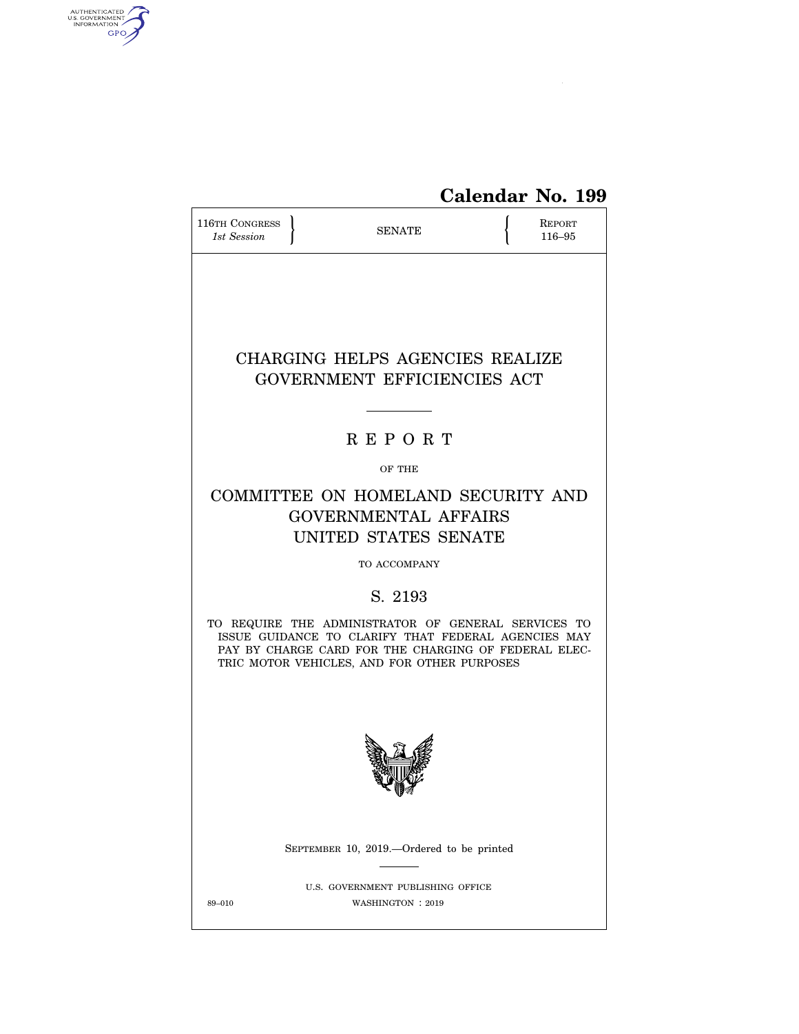

# **Calendar No. 199**

| 116TH CONGRESS<br>1st Session | <b>SENATE</b>                                                                                                                                                                                                     | REPORT<br>116-95 |
|-------------------------------|-------------------------------------------------------------------------------------------------------------------------------------------------------------------------------------------------------------------|------------------|
|                               | CHARGING HELPS AGENCIES REALIZE<br>GOVERNMENT EFFICIENCIES ACT                                                                                                                                                    |                  |
|                               |                                                                                                                                                                                                                   |                  |
|                               | <b>REPORT</b>                                                                                                                                                                                                     |                  |
|                               | OF THE                                                                                                                                                                                                            |                  |
|                               | COMMITTEE ON HOMELAND SECURITY AND<br><b>GOVERNMENTAL AFFAIRS</b><br>UNITED STATES SENATE                                                                                                                         |                  |
|                               | TO ACCOMPANY                                                                                                                                                                                                      |                  |
|                               | S. 2193                                                                                                                                                                                                           |                  |
|                               | TO REQUIRE THE ADMINISTRATOR OF GENERAL SERVICES TO<br>ISSUE GUIDANCE TO CLARIFY THAT FEDERAL AGENCIES MAY<br>PAY BY CHARGE CARD FOR THE CHARGING OF FEDERAL ELEC-<br>TRIC MOTOR VEHICLES, AND FOR OTHER PURPOSES |                  |
|                               |                                                                                                                                                                                                                   |                  |
|                               | SEPTEMBER 10, 2019.—Ordered to be printed                                                                                                                                                                         |                  |
| 89-010                        | U.S. GOVERNMENT PUBLISHING OFFICE<br>WASHINGTON : 2019                                                                                                                                                            |                  |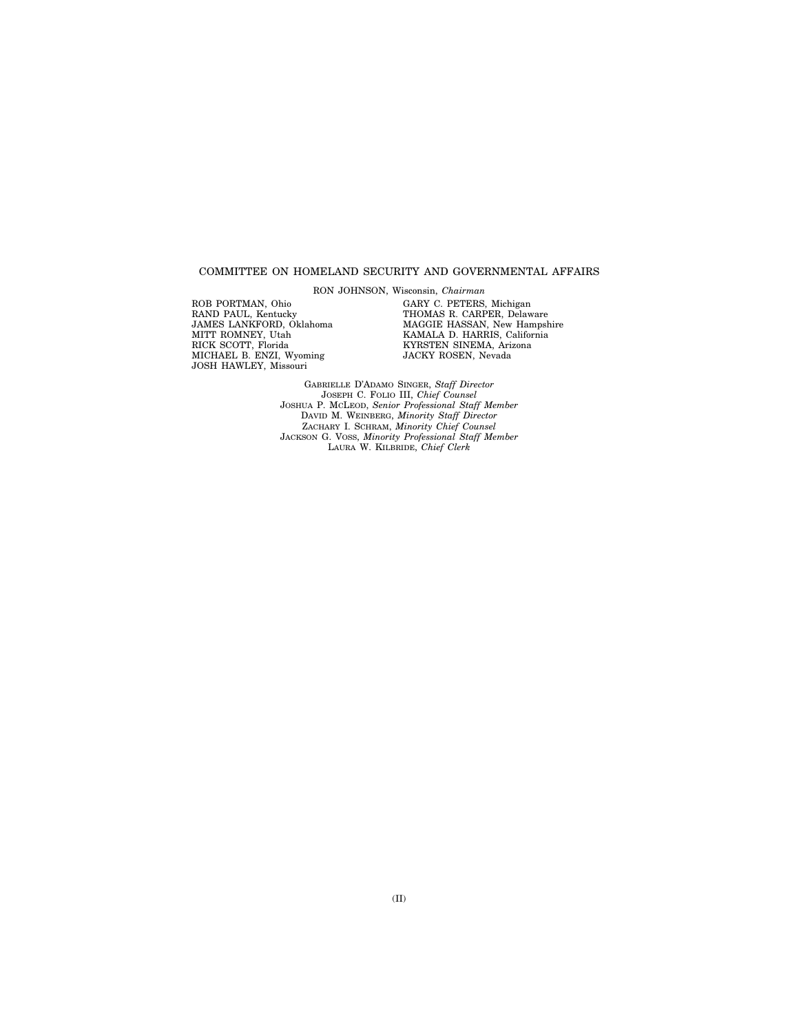#### COMMITTEE ON HOMELAND SECURITY AND GOVERNMENTAL AFFAIRS

RON JOHNSON, Wisconsin, *Chairman* 

ROB PORTMAN, Ohio RAND PAUL, Kentucky JAMES LANKFORD, Oklahoma MITT ROMNEY, Utah RICK SCOTT, Florida MICHAEL B. ENZI, Wyoming JOSH HAWLEY, Missouri

GARY C. PETERS, Michigan THOMAS R. CARPER, Delaware MAGGIE HASSAN, New Hampshire KAMALA D. HARRIS, California KYRSTEN SINEMA, Arizona JACKY ROSEN, Nevada

GABRIELLE D'ADAMO SINGER, *Staff Director*  JOSEPH C. FOLIO III, *Chief Counsel*  JOSHUA P. MCLEOD, *Senior Professional Staff Member*  DAVID M. WEINBERG, *Minority Staff Director*  ZACHARY I. SCHRAM, *Minority Chief Counsel*  JACKSON G. VOSS, *Minority Professional Staff Member*  LAURA W. KILBRIDE, *Chief Clerk*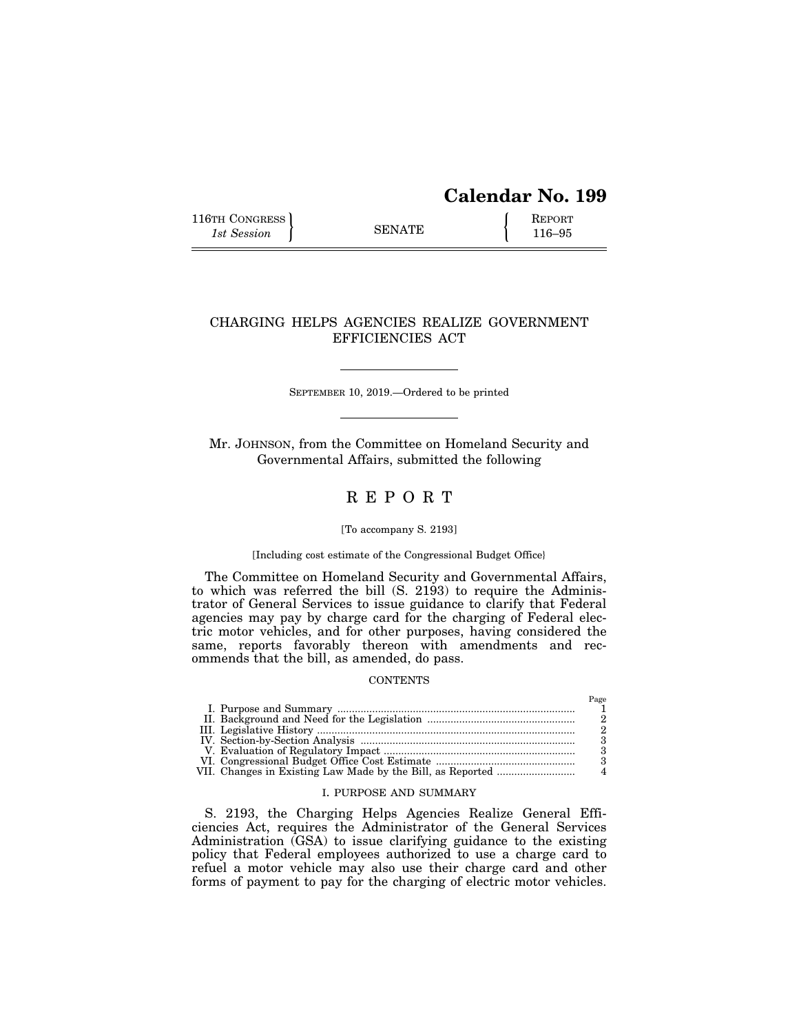# **Calendar No. 199**

 $P<sub>200</sub>$ 

116TH CONGRESS REPORT 116-95

### CHARGING HELPS AGENCIES REALIZE GOVERNMENT EFFICIENCIES ACT

SEPTEMBER 10, 2019.—Ordered to be printed

Mr. JOHNSON, from the Committee on Homeland Security and Governmental Affairs, submitted the following

## R E P O R T

#### [To accompany S. 2193]

#### [Including cost estimate of the Congressional Budget Office}

The Committee on Homeland Security and Governmental Affairs, to which was referred the bill (S. 2193) to require the Administrator of General Services to issue guidance to clarify that Federal agencies may pay by charge card for the charging of Federal electric motor vehicles, and for other purposes, having considered the same, reports favorably thereon with amendments and recommends that the bill, as amended, do pass.

#### **CONTENTS**

|  | 1 use |
|--|-------|
|  |       |
|  |       |
|  |       |
|  |       |
|  |       |
|  |       |
|  |       |

#### I. PURPOSE AND SUMMARY

S. 2193, the Charging Helps Agencies Realize General Efficiencies Act, requires the Administrator of the General Services Administration (GSA) to issue clarifying guidance to the existing policy that Federal employees authorized to use a charge card to refuel a motor vehicle may also use their charge card and other forms of payment to pay for the charging of electric motor vehicles.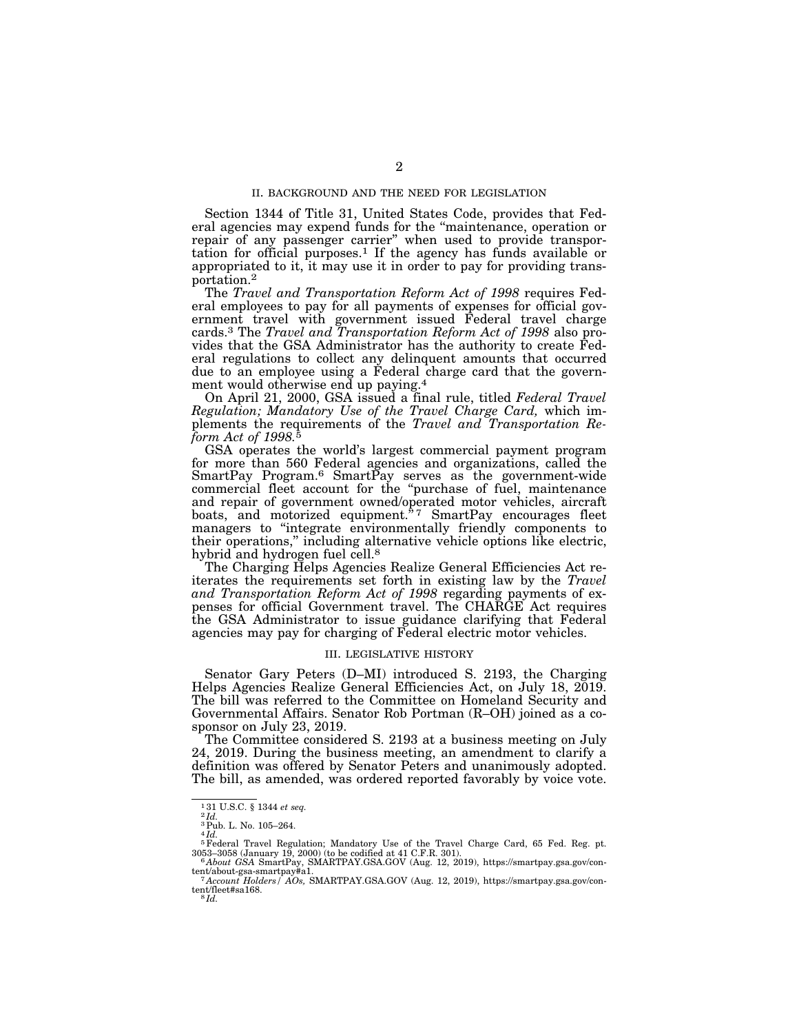#### II. BACKGROUND AND THE NEED FOR LEGISLATION

Section 1344 of Title 31, United States Code, provides that Federal agencies may expend funds for the ''maintenance, operation or repair of any passenger carrier'' when used to provide transportation for official purposes.1 If the agency has funds available or appropriated to it, it may use it in order to pay for providing transportation.2

The *Travel and Transportation Reform Act of 1998* requires Federal employees to pay for all payments of expenses for official government travel with government issued Federal travel charge cards.3 The *Travel and Transportation Reform Act of 1998* also provides that the GSA Administrator has the authority to create Federal regulations to collect any delinquent amounts that occurred due to an employee using a Federal charge card that the government would otherwise end up paying.4

On April 21, 2000, GSA issued a final rule, titled *Federal Travel Regulation; Mandatory Use of the Travel Charge Card,* which implements the requirements of the *Travel and Transportation Reform Act of 1998.*5

GSA operates the world's largest commercial payment program for more than 560 Federal agencies and organizations, called the SmartPay Program.<sup>6</sup> SmartPay serves as the government-wide commercial fleet account for the ''purchase of fuel, maintenance and repair of government owned/operated motor vehicles, aircraft boats, and motorized equipment.<sup>\*7</sup> SmartPay encourages fleet managers to ''integrate environmentally friendly components to their operations,'' including alternative vehicle options like electric, hybrid and hydrogen fuel cell.<sup>8</sup>

The Charging Helps Agencies Realize General Efficiencies Act reiterates the requirements set forth in existing law by the *Travel and Transportation Reform Act of 1998* regarding payments of expenses for official Government travel. The CHARGE Act requires the GSA Administrator to issue guidance clarifying that Federal agencies may pay for charging of Federal electric motor vehicles.

#### III. LEGISLATIVE HISTORY

Senator Gary Peters (D–MI) introduced S. 2193, the Charging Helps Agencies Realize General Efficiencies Act, on July 18, 2019. The bill was referred to the Committee on Homeland Security and Governmental Affairs. Senator Rob Portman (R–OH) joined as a cosponsor on July 23, 2019.

The Committee considered S. 2193 at a business meeting on July 24, 2019. During the business meeting, an amendment to clarify a definition was offered by Senator Peters and unanimously adopted. The bill, as amended, was ordered reported favorably by voice vote.

 $^{131}_{21d}$  U.S.C. § 1344 *et seq.*  $^{2}Id$ .

<sup>3</sup>Pub. L. No. 105–264. 4 *Id.* 

<sup>5</sup>Federal Travel Regulation; Mandatory Use of the Travel Charge Card, 65 Fed. Reg. pt.

<sup>3053–3058 (</sup>January 19, 2000) (to be codified at 41 C.F.R. 301). 6 *About GSA* SmartPay, SMARTPAY.GSA.GOV (Aug. 12, 2019), https://smartpay.gsa.gov/con-

<sup>&</sup>lt;sup>7</sup> Account Holders / AOs, SMARTPAY.GSA.GOV (Aug. 12, 2019), https://smartpay.gsa.gov/content/fleet#sa168. 8 *Id.*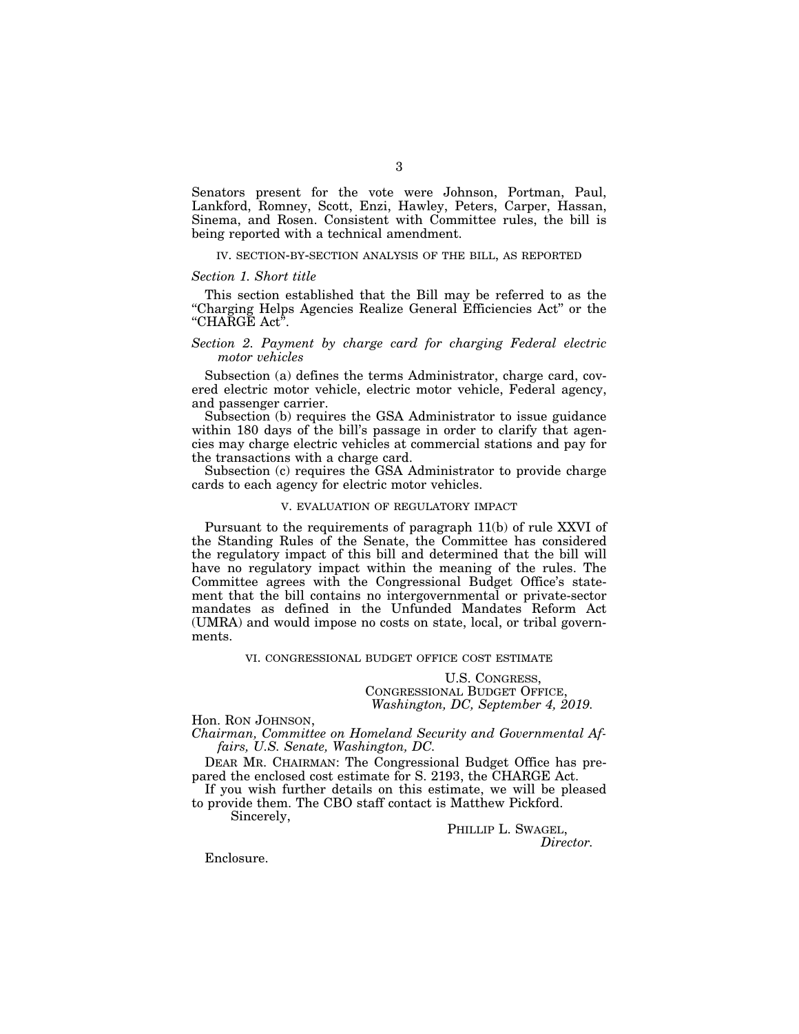Senators present for the vote were Johnson, Portman, Paul, Lankford, Romney, Scott, Enzi, Hawley, Peters, Carper, Hassan, Sinema, and Rosen. Consistent with Committee rules, the bill is being reported with a technical amendment.

#### IV. SECTION-BY-SECTION ANALYSIS OF THE BILL, AS REPORTED

#### *Section 1. Short title*

This section established that the Bill may be referred to as the ''Charging Helps Agencies Realize General Efficiencies Act'' or the ''CHARGE Act''.

#### *Section 2. Payment by charge card for charging Federal electric motor vehicles*

Subsection (a) defines the terms Administrator, charge card, covered electric motor vehicle, electric motor vehicle, Federal agency, and passenger carrier.

Subsection (b) requires the GSA Administrator to issue guidance within 180 days of the bill's passage in order to clarify that agencies may charge electric vehicles at commercial stations and pay for the transactions with a charge card.

Subsection (c) requires the GSA Administrator to provide charge cards to each agency for electric motor vehicles.

#### V. EVALUATION OF REGULATORY IMPACT

Pursuant to the requirements of paragraph 11(b) of rule XXVI of the Standing Rules of the Senate, the Committee has considered the regulatory impact of this bill and determined that the bill will have no regulatory impact within the meaning of the rules. The Committee agrees with the Congressional Budget Office's statement that the bill contains no intergovernmental or private-sector mandates as defined in the Unfunded Mandates Reform Act (UMRA) and would impose no costs on state, local, or tribal governments.

#### VI. CONGRESSIONAL BUDGET OFFICE COST ESTIMATE

U.S. CONGRESS, CONGRESSIONAL BUDGET OFFICE, *Washington, DC, September 4, 2019.* 

Hon. RON JOHNSON,

*Chairman, Committee on Homeland Security and Governmental Affairs, U.S. Senate, Washington, DC.* 

DEAR MR. CHAIRMAN: The Congressional Budget Office has prepared the enclosed cost estimate for S. 2193, the CHARGE Act.

If you wish further details on this estimate, we will be pleased to provide them. The CBO staff contact is Matthew Pickford.

Sincerely,

PHILLIP L. SWAGEL, *Director.* 

Enclosure.